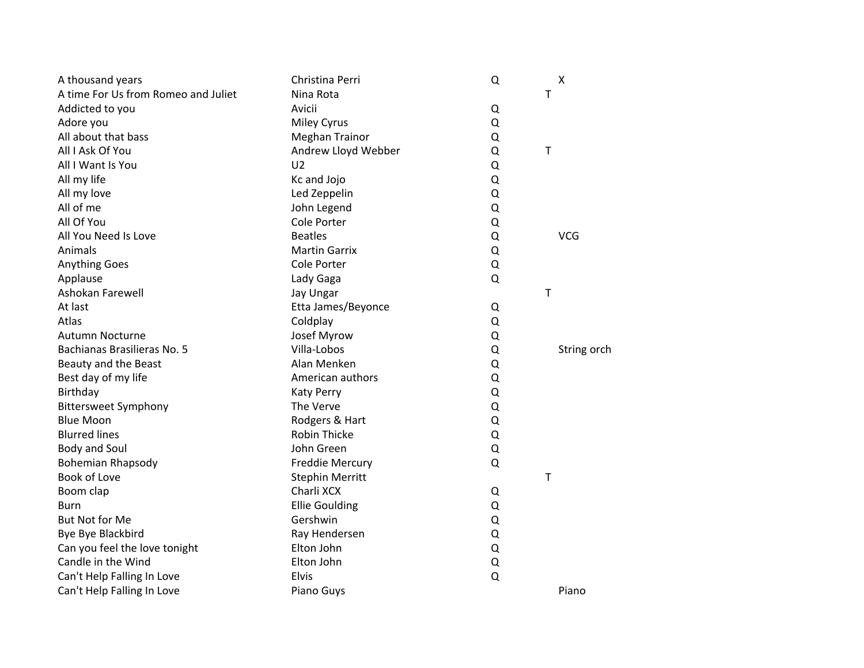| A thousand years                    | Christina Perri        | Q | Χ           |
|-------------------------------------|------------------------|---|-------------|
| A time For Us from Romeo and Juliet | Nina Rota              |   | T           |
| Addicted to you                     | Avicii                 | Q |             |
| Adore you                           | <b>Miley Cyrus</b>     | Q |             |
| All about that bass                 | Meghan Trainor         | Q |             |
| All I Ask Of You                    | Andrew Lloyd Webber    | Q | $\sf T$     |
| All I Want Is You                   | U <sub>2</sub>         | Q |             |
| All my life                         | Kc and Jojo            | Q |             |
| All my love                         | Led Zeppelin           | Q |             |
| All of me                           | John Legend            | Q |             |
| All Of You                          | Cole Porter            | Q |             |
| All You Need Is Love                | <b>Beatles</b>         | Q | <b>VCG</b>  |
| Animals                             | <b>Martin Garrix</b>   | Q |             |
| <b>Anything Goes</b>                | <b>Cole Porter</b>     | Q |             |
| Applause                            | Lady Gaga              | Q |             |
| Ashokan Farewell                    | Jay Ungar              |   | T           |
| At last                             | Etta James/Beyonce     | Q |             |
| Atlas                               | Coldplay               | Q |             |
| <b>Autumn Nocturne</b>              | Josef Myrow            | Q |             |
| Bachianas Brasilieras No. 5         | Villa-Lobos            | Q | String orch |
| Beauty and the Beast                | Alan Menken            | Q |             |
| Best day of my life                 | American authors       | Q |             |
| Birthday                            | <b>Katy Perry</b>      | Q |             |
| <b>Bittersweet Symphony</b>         | The Verve              | Q |             |
| <b>Blue Moon</b>                    | Rodgers & Hart         | Q |             |
| <b>Blurred lines</b>                | <b>Robin Thicke</b>    | Q |             |
| <b>Body and Soul</b>                | John Green             | Q |             |
| <b>Bohemian Rhapsody</b>            | <b>Freddie Mercury</b> | Q |             |
| Book of Love                        | <b>Stephin Merritt</b> |   | T           |
| Boom clap                           | Charli XCX             | Q |             |
| Burn                                | <b>Ellie Goulding</b>  | Q |             |
| <b>But Not for Me</b>               | Gershwin               | Q |             |
| Bye Bye Blackbird                   | Ray Hendersen          | Q |             |
| Can you feel the love tonight       | Elton John             | Q |             |
| Candle in the Wind                  | Elton John             | Q |             |
| Can't Help Falling In Love          | <b>Elvis</b>           | Q |             |
| Can't Help Falling In Love          | Piano Guys             |   | Piano       |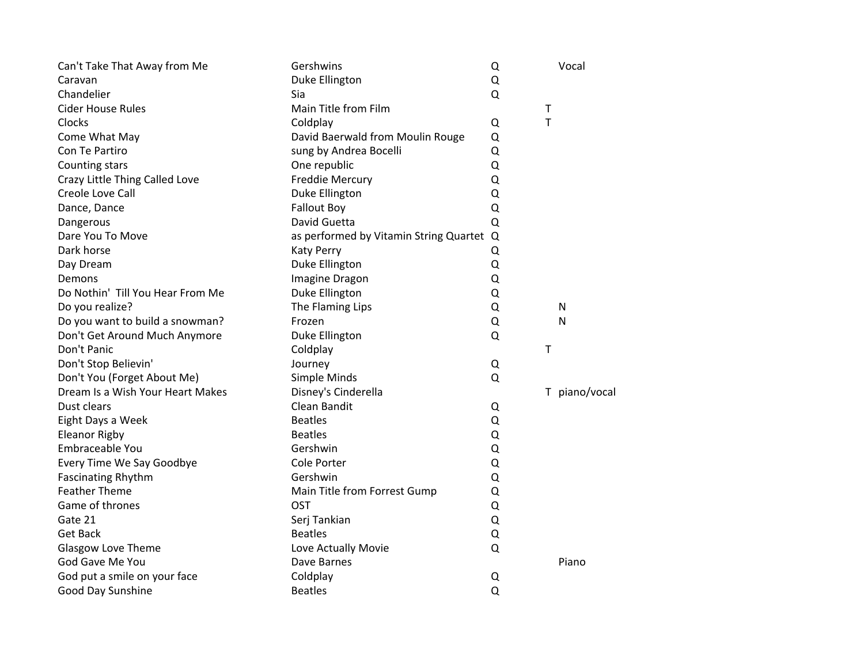| Can't Take That Away from Me     | Gershwins                                | Q | Vocal         |
|----------------------------------|------------------------------------------|---|---------------|
| Caravan                          | Duke Ellington                           | Q |               |
| Chandelier                       | Sia                                      | Q |               |
| <b>Cider House Rules</b>         | Main Title from Film                     |   | T             |
| Clocks                           | Coldplay                                 | Q | T             |
| Come What May                    | David Baerwald from Moulin Rouge         | Q |               |
| Con Te Partiro                   | sung by Andrea Bocelli                   | Q |               |
| Counting stars                   | One republic                             | Q |               |
| Crazy Little Thing Called Love   | <b>Freddie Mercury</b>                   | Q |               |
| Creole Love Call                 | Duke Ellington                           | Q |               |
| Dance, Dance                     | <b>Fallout Boy</b>                       | Q |               |
| Dangerous                        | David Guetta                             | Q |               |
| Dare You To Move                 | as performed by Vitamin String Quartet Q |   |               |
| Dark horse                       | <b>Katy Perry</b>                        | Q |               |
| Day Dream                        | Duke Ellington                           | Q |               |
| Demons                           | Imagine Dragon                           | Q |               |
| Do Nothin' Till You Hear From Me | Duke Ellington                           | Q |               |
| Do you realize?                  | The Flaming Lips                         | Q | N             |
| Do you want to build a snowman?  | Frozen                                   | Q | N             |
| Don't Get Around Much Anymore    | Duke Ellington                           | Q |               |
| Don't Panic                      | Coldplay                                 |   | т             |
| Don't Stop Believin'             | Journey                                  | Q |               |
| Don't You (Forget About Me)      | Simple Minds                             | Q |               |
| Dream Is a Wish Your Heart Makes | Disney's Cinderella                      |   | T piano/vocal |
| Dust clears                      | Clean Bandit                             | Q |               |
| Eight Days a Week                | <b>Beatles</b>                           | Q |               |
| <b>Eleanor Rigby</b>             | <b>Beatles</b>                           | Q |               |
| Embraceable You                  | Gershwin                                 | Q |               |
| Every Time We Say Goodbye        | Cole Porter                              | Q |               |
| <b>Fascinating Rhythm</b>        | Gershwin                                 | Q |               |
| <b>Feather Theme</b>             | Main Title from Forrest Gump             | Q |               |
| Game of thrones                  | <b>OST</b>                               | Q |               |
| Gate 21                          | Serj Tankian                             | Q |               |
| <b>Get Back</b>                  | <b>Beatles</b>                           | Q |               |
| Glasgow Love Theme               | Love Actually Movie                      | Q |               |
| God Gave Me You                  | Dave Barnes                              |   | Piano         |
| God put a smile on your face     | Coldplay                                 | Q |               |
| Good Day Sunshine                | <b>Beatles</b>                           | Q |               |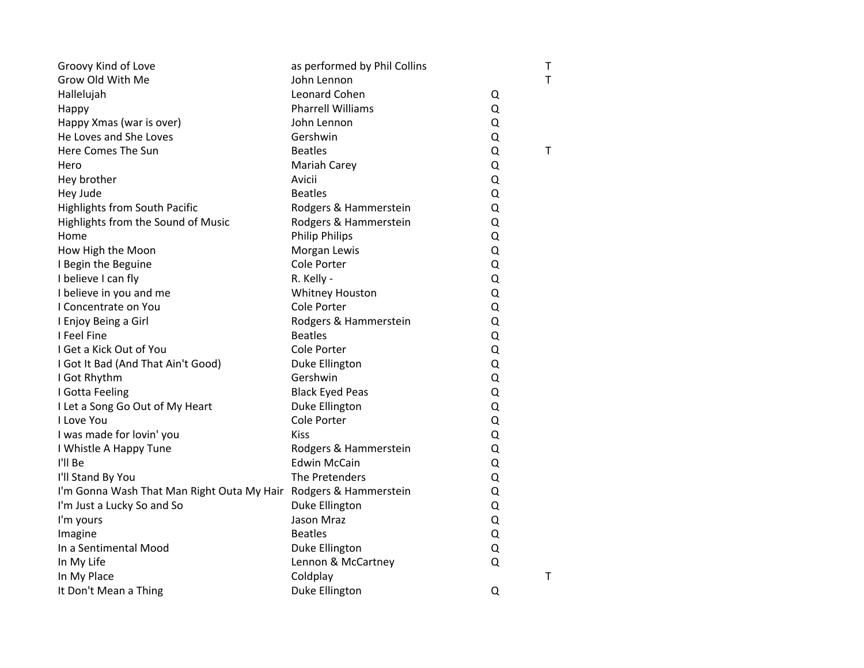| Groovy Kind of Love                                              | as performed by Phil Collins |   | $\sf T$     |
|------------------------------------------------------------------|------------------------------|---|-------------|
| Grow Old With Me                                                 | John Lennon                  |   | T           |
| Hallelujah                                                       | Leonard Cohen                | Q |             |
| Happy                                                            | <b>Pharrell Williams</b>     | Q |             |
| Happy Xmas (war is over)                                         | John Lennon                  | Q |             |
| He Loves and She Loves                                           | Gershwin                     | Q |             |
| Here Comes The Sun                                               | <b>Beatles</b>               | Q | $\mathsf T$ |
| Hero                                                             | Mariah Carey                 | Q |             |
| Hey brother                                                      | Avicii                       | Q |             |
| Hey Jude                                                         | <b>Beatles</b>               | Q |             |
| <b>Highlights from South Pacific</b>                             | Rodgers & Hammerstein        | Q |             |
| Highlights from the Sound of Music                               | Rodgers & Hammerstein        | Q |             |
| Home                                                             | <b>Philip Philips</b>        | Q |             |
| How High the Moon                                                | Morgan Lewis                 | Q |             |
| I Begin the Beguine                                              | Cole Porter                  | Q |             |
| I believe I can fly                                              | R. Kelly -                   | Q |             |
| I believe in you and me                                          | <b>Whitney Houston</b>       | Q |             |
| I Concentrate on You                                             | <b>Cole Porter</b>           | Q |             |
| I Enjoy Being a Girl                                             | Rodgers & Hammerstein        | Q |             |
| I Feel Fine                                                      | <b>Beatles</b>               | Q |             |
| I Get a Kick Out of You                                          | Cole Porter                  | Q |             |
| I Got It Bad (And That Ain't Good)                               | Duke Ellington               | Q |             |
| I Got Rhythm                                                     | Gershwin                     | Q |             |
| I Gotta Feeling                                                  | <b>Black Eyed Peas</b>       | Q |             |
| I Let a Song Go Out of My Heart                                  | Duke Ellington               | Q |             |
| I Love You                                                       | <b>Cole Porter</b>           | Q |             |
| I was made for lovin' you                                        | <b>Kiss</b>                  | Q |             |
| I Whistle A Happy Tune                                           | Rodgers & Hammerstein        | Q |             |
| I'll Be                                                          | <b>Edwin McCain</b>          | Q |             |
| I'll Stand By You                                                | The Pretenders               | Q |             |
| I'm Gonna Wash That Man Right Outa My Hair Rodgers & Hammerstein |                              | Q |             |
| I'm Just a Lucky So and So                                       | Duke Ellington               | Q |             |
| I'm yours                                                        | Jason Mraz                   | Q |             |
| Imagine                                                          | <b>Beatles</b>               | Q |             |
| In a Sentimental Mood                                            | Duke Ellington               | Q |             |
| In My Life                                                       | Lennon & McCartney           | Q |             |
| In My Place                                                      | Coldplay                     |   | $\mathsf T$ |
| It Don't Mean a Thing                                            | Duke Ellington               | Q |             |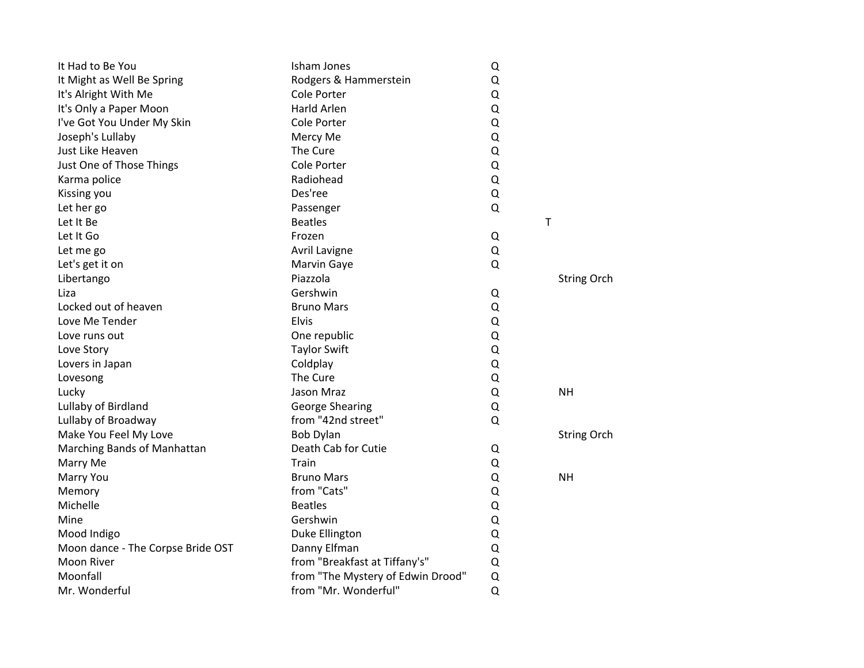| It Had to Be You                  | Isham Jones                       | Q |                    |
|-----------------------------------|-----------------------------------|---|--------------------|
| It Might as Well Be Spring        | Rodgers & Hammerstein             | Q |                    |
| It's Alright With Me              | Cole Porter                       | Q |                    |
| It's Only a Paper Moon            | <b>Harld Arlen</b>                | Q |                    |
| I've Got You Under My Skin        | Cole Porter                       | Q |                    |
| Joseph's Lullaby                  | Mercy Me                          | Q |                    |
| Just Like Heaven                  | The Cure                          | Q |                    |
| Just One of Those Things          | Cole Porter                       | Q |                    |
| Karma police                      | Radiohead                         | Q |                    |
| Kissing you                       | Des'ree                           | Q |                    |
| Let her go                        | Passenger                         | Q |                    |
| Let It Be                         | <b>Beatles</b>                    |   | $\top$             |
| Let It Go                         | Frozen                            | Q |                    |
| Let me go                         | Avril Lavigne                     | Q |                    |
| Let's get it on                   | Marvin Gaye                       | Q |                    |
| Libertango                        | Piazzola                          |   | <b>String Orch</b> |
| Liza                              | Gershwin                          | Q |                    |
| Locked out of heaven              | <b>Bruno Mars</b>                 | Q |                    |
| Love Me Tender                    | <b>Elvis</b>                      | Q |                    |
| Love runs out                     | One republic                      | Q |                    |
| Love Story                        | <b>Taylor Swift</b>               | Q |                    |
| Lovers in Japan                   | Coldplay                          | Q |                    |
| Lovesong                          | The Cure                          | Q |                    |
| Lucky                             | Jason Mraz                        | Q | <b>NH</b>          |
| Lullaby of Birdland               | <b>George Shearing</b>            | Q |                    |
| Lullaby of Broadway               | from "42nd street"                | Q |                    |
| Make You Feel My Love             | <b>Bob Dylan</b>                  |   | <b>String Orch</b> |
| Marching Bands of Manhattan       | Death Cab for Cutie               | Q |                    |
| Marry Me                          | Train                             | Q |                    |
| Marry You                         | <b>Bruno Mars</b>                 | Q | <b>NH</b>          |
| Memory                            | from "Cats"                       | Q |                    |
| Michelle                          | <b>Beatles</b>                    | Q |                    |
| Mine                              | Gershwin                          | Q |                    |
| Mood Indigo                       | Duke Ellington                    | Q |                    |
| Moon dance - The Corpse Bride OST | Danny Elfman                      | Q |                    |
| <b>Moon River</b>                 | from "Breakfast at Tiffany's"     | Q |                    |
| Moonfall                          | from "The Mystery of Edwin Drood" | Q |                    |
| Mr. Wonderful                     | from "Mr. Wonderful"              | Q |                    |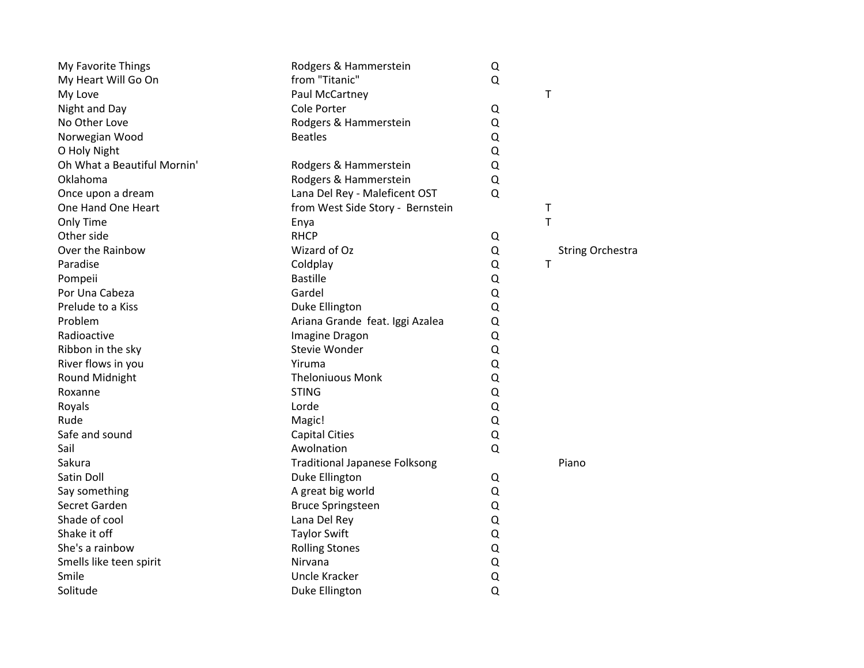| My Favorite Things          | Rodgers & Hammerstein                | Q |                         |
|-----------------------------|--------------------------------------|---|-------------------------|
| My Heart Will Go On         | from "Titanic"                       | Q |                         |
| My Love                     | Paul McCartney                       |   | T                       |
| Night and Day               | Cole Porter                          | Q |                         |
| No Other Love               | Rodgers & Hammerstein                | Q |                         |
| Norwegian Wood              | <b>Beatles</b>                       | Q |                         |
| O Holy Night                |                                      | Q |                         |
| Oh What a Beautiful Mornin' | Rodgers & Hammerstein                | Q |                         |
| Oklahoma                    | Rodgers & Hammerstein                | Q |                         |
| Once upon a dream           | Lana Del Rey - Maleficent OST        | Q |                         |
| One Hand One Heart          | from West Side Story - Bernstein     |   | T                       |
| Only Time                   | Enya                                 |   | $\mathsf{T}$            |
| Other side                  | <b>RHCP</b>                          | Q |                         |
| Over the Rainbow            | Wizard of Oz                         | Q | <b>String Orchestra</b> |
| Paradise                    | Coldplay                             | Q | T                       |
| Pompeii                     | <b>Bastille</b>                      | Q |                         |
| Por Una Cabeza              | Gardel                               | Q |                         |
| Prelude to a Kiss           | Duke Ellington                       | Q |                         |
| Problem                     | Ariana Grande feat. Iggi Azalea      | Q |                         |
| Radioactive                 | Imagine Dragon                       | Q |                         |
| Ribbon in the sky           | Stevie Wonder                        | Q |                         |
| River flows in you          | Yiruma                               | Q |                         |
| Round Midnight              | <b>Theloniuous Monk</b>              | Q |                         |
| Roxanne                     | <b>STING</b>                         | Q |                         |
| Royals                      | Lorde                                | Q |                         |
| Rude                        | Magic!                               | Q |                         |
| Safe and sound              | <b>Capital Cities</b>                | Q |                         |
| Sail                        | Awolnation                           | Q |                         |
| Sakura                      | <b>Traditional Japanese Folksong</b> |   | Piano                   |
| Satin Doll                  | Duke Ellington                       | Q |                         |
| Say something               | A great big world                    | Q |                         |
| Secret Garden               | <b>Bruce Springsteen</b>             | Q |                         |
| Shade of cool               | Lana Del Rey                         | Q |                         |
| Shake it off                | <b>Taylor Swift</b>                  | Q |                         |
| She's a rainbow             | <b>Rolling Stones</b>                | Q |                         |
| Smells like teen spirit     | Nirvana                              | Q |                         |
| Smile                       | <b>Uncle Kracker</b>                 | Q |                         |
| Solitude                    | Duke Ellington                       | Q |                         |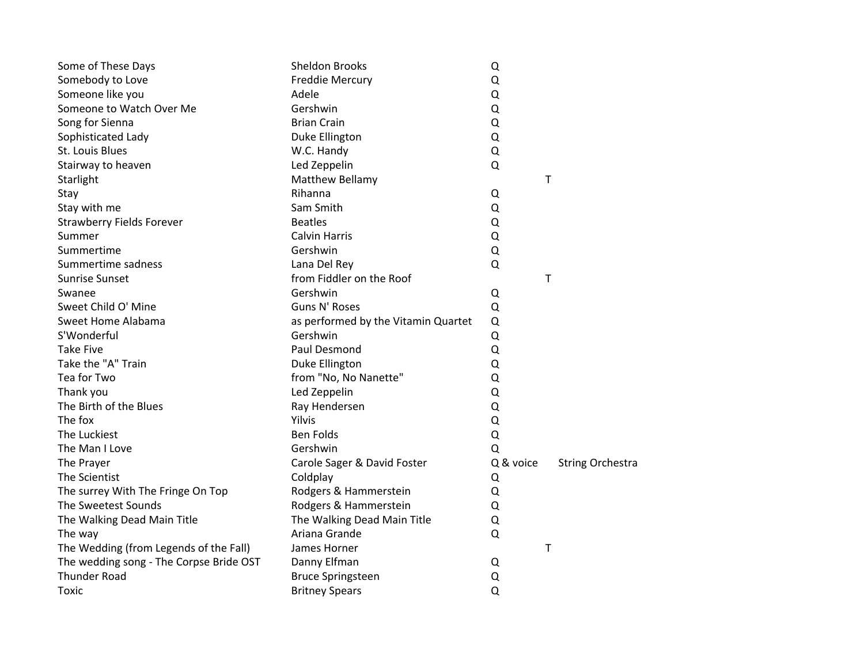| Some of These Days                      | <b>Sheldon Brooks</b>               | Q         |                         |
|-----------------------------------------|-------------------------------------|-----------|-------------------------|
| Somebody to Love                        | <b>Freddie Mercury</b>              | Q         |                         |
| Someone like you                        | Adele                               | Q         |                         |
| Someone to Watch Over Me                | Gershwin                            | Q         |                         |
| Song for Sienna                         | <b>Brian Crain</b>                  | Q         |                         |
| Sophisticated Lady                      | Duke Ellington                      | Q         |                         |
| St. Louis Blues                         | W.C. Handy                          | Q         |                         |
| Stairway to heaven                      | Led Zeppelin                        | Q         |                         |
| Starlight                               | Matthew Bellamy                     |           | T                       |
| Stay                                    | Rihanna                             | Q         |                         |
| Stay with me                            | Sam Smith                           | Q         |                         |
| <b>Strawberry Fields Forever</b>        | <b>Beatles</b>                      | Q         |                         |
| Summer                                  | <b>Calvin Harris</b>                | Q         |                         |
| Summertime                              | Gershwin                            | Q         |                         |
| Summertime sadness                      | Lana Del Rey                        | Q         |                         |
| <b>Sunrise Sunset</b>                   | from Fiddler on the Roof            |           | Τ                       |
| Swanee                                  | Gershwin                            | Q         |                         |
| Sweet Child O' Mine                     | Guns N' Roses                       | Q         |                         |
| Sweet Home Alabama                      | as performed by the Vitamin Quartet | Q         |                         |
| S'Wonderful                             | Gershwin                            | Q         |                         |
| <b>Take Five</b>                        | Paul Desmond                        | Q         |                         |
| Take the "A" Train                      | Duke Ellington                      | Q         |                         |
| Tea for Two                             | from "No, No Nanette"               | Q         |                         |
| Thank you                               | Led Zeppelin                        | Q         |                         |
| The Birth of the Blues                  | Ray Hendersen                       | Q         |                         |
| The fox                                 | Yilvis                              | Q         |                         |
| The Luckiest                            | <b>Ben Folds</b>                    | Q         |                         |
| The Man I Love                          | Gershwin                            | Q         |                         |
| The Prayer                              | Carole Sager & David Foster         | Q & voice | <b>String Orchestra</b> |
| The Scientist                           | Coldplay                            | Q         |                         |
| The surrey With The Fringe On Top       | Rodgers & Hammerstein               | Q         |                         |
| The Sweetest Sounds                     | Rodgers & Hammerstein               | Q         |                         |
| The Walking Dead Main Title             | The Walking Dead Main Title         | Q         |                         |
| The way                                 | Ariana Grande                       | Q         |                         |
| The Wedding (from Legends of the Fall)  | James Horner                        |           | $\sf T$                 |
| The wedding song - The Corpse Bride OST | Danny Elfman                        | Q         |                         |
| <b>Thunder Road</b>                     | <b>Bruce Springsteen</b>            | Q         |                         |
| Toxic                                   | <b>Britney Spears</b>               | $\Omega$  |                         |